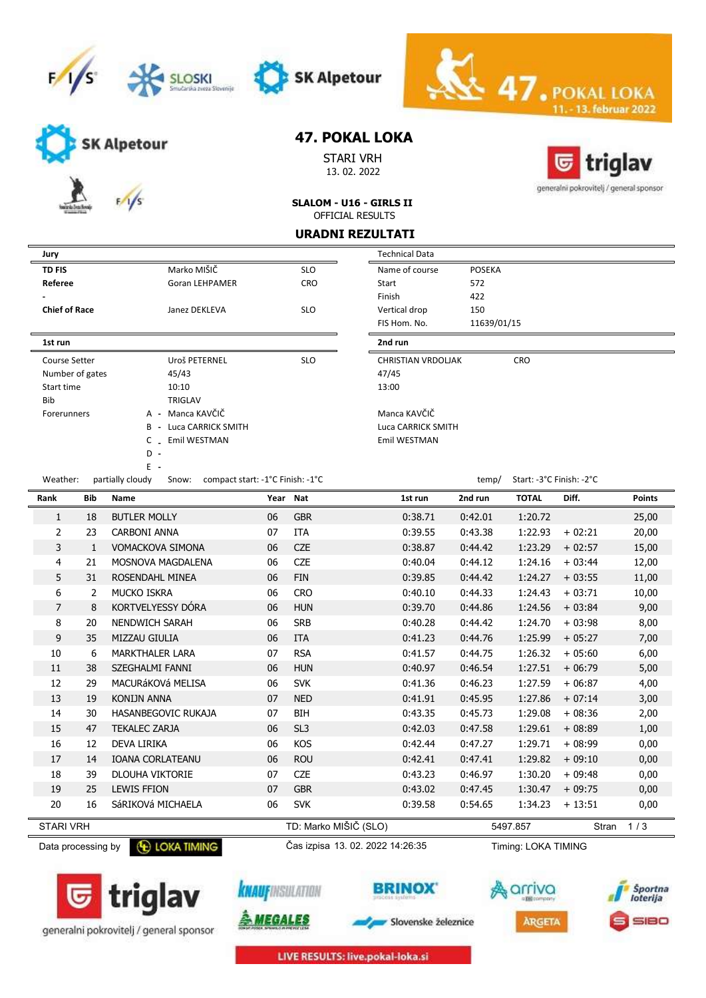





SK Alpetour

STARI VRH 13. 02. 2022



11. - 13. februar 2022

47. POKA

SLALOM - U16 - GIRLS II OFFICIAL RESULTS

#### URADNI REZULTATI

| Jury                 |                 |                                                               |          |                 | <b>Technical Data</b>     |               |                          |          |               |  |  |  |
|----------------------|-----------------|---------------------------------------------------------------|----------|-----------------|---------------------------|---------------|--------------------------|----------|---------------|--|--|--|
| <b>TD FIS</b>        |                 | Marko MIŠIČ                                                   |          | <b>SLO</b>      | Name of course            | <b>POSEKA</b> |                          |          |               |  |  |  |
| Referee              |                 | Goran LEHPAMER                                                |          | CRO             | Start                     | 572           |                          |          |               |  |  |  |
|                      |                 |                                                               |          |                 | Finish                    | 422           |                          |          |               |  |  |  |
| <b>Chief of Race</b> |                 | Janez DEKLEVA                                                 |          | <b>SLO</b>      | Vertical drop             | 150           |                          |          |               |  |  |  |
|                      |                 |                                                               |          |                 | FIS Hom. No.              | 11639/01/15   |                          |          |               |  |  |  |
| 1st run              |                 |                                                               |          |                 | 2nd run                   |               |                          |          |               |  |  |  |
| <b>Course Setter</b> |                 | Uroš PETERNEL                                                 |          | <b>SLO</b>      | <b>CHRISTIAN VRDOLJAK</b> |               | CRO                      |          |               |  |  |  |
|                      | Number of gates | 45/43                                                         |          |                 | 47/45                     |               |                          |          |               |  |  |  |
| Start time           |                 | 10:10                                                         |          |                 | 13:00                     |               |                          |          |               |  |  |  |
| Bib                  |                 | <b>TRIGLAV</b>                                                |          |                 |                           |               |                          |          |               |  |  |  |
| Forerunners          |                 | A - Manca KAVČIČ                                              |          |                 | Manca KAVČIČ              |               |                          |          |               |  |  |  |
|                      |                 | <b>B</b> - Luca CARRICK SMITH                                 |          |                 | Luca CARRICK SMITH        |               |                          |          |               |  |  |  |
|                      |                 | C _ Emil WESTMAN<br>$D -$                                     |          |                 | Emil WESTMAN              |               |                          |          |               |  |  |  |
|                      |                 | $E -$                                                         |          |                 |                           |               |                          |          |               |  |  |  |
| Weather:             |                 | partially cloudy<br>compact start: -1°C Finish: -1°C<br>Snow: |          |                 |                           | temp/         | Start: -3°C Finish: -2°C |          |               |  |  |  |
| Rank                 | <b>Bib</b>      | Name                                                          | Year Nat |                 | 1st run                   | 2nd run       | <b>TOTAL</b>             | Diff.    | <b>Points</b> |  |  |  |
| $\mathbf{1}$         | 18              | <b>BUTLER MOLLY</b>                                           | 06       | <b>GBR</b>      | 0:38.71                   | 0:42.01       | 1:20.72                  |          | 25,00         |  |  |  |
| $\overline{2}$       | 23              | <b>CARBONI ANNA</b>                                           | 07       | <b>ITA</b>      | 0:39.55                   | 0:43.38       | 1:22.93                  | $+02:21$ | 20,00         |  |  |  |
| 3                    | $\mathbf{1}$    | <b>VOMACKOVA SIMONA</b>                                       | 06       | <b>CZE</b>      | 0:38.87                   | 0:44.42       | 1:23.29                  | $+02:57$ | 15,00         |  |  |  |
| 4                    | 21              | MOSNOVA MAGDALENA                                             | 06       | <b>CZE</b>      | 0:40.04                   | 0:44.12       | 1:24.16                  | $+03:44$ | 12,00         |  |  |  |
| 5                    | 31              | ROSENDAHL MINEA                                               | 06       | <b>FIN</b>      | 0:39.85                   | 0:44.42       | 1:24.27                  | $+03:55$ | 11,00         |  |  |  |
| 6                    | $\overline{2}$  | MUCKO ISKRA                                                   | 06       | <b>CRO</b>      | 0:40.10                   | 0:44.33       | 1:24.43                  | $+03:71$ | 10,00         |  |  |  |
| $\overline{7}$       | 8               | KORTVELYESSY DÓRA                                             | 06       | <b>HUN</b>      | 0:39.70                   | 0:44.86       | 1:24.56                  | $+03:84$ | 9,00          |  |  |  |
| 8                    | 20              | <b>NENDWICH SARAH</b>                                         | 06       | <b>SRB</b>      | 0:40.28                   | 0:44.42       | 1:24.70                  | $+03:98$ | 8,00          |  |  |  |
| 9                    | 35              | MIZZAU GIULIA                                                 | 06       | <b>ITA</b>      | 0:41.23                   | 0:44.76       | 1:25.99                  | $+05:27$ | 7,00          |  |  |  |
| 10                   | 6               | <b>MARKTHALER LARA</b>                                        | 07       | <b>RSA</b>      | 0:41.57                   | 0:44.75       | 1:26.32                  | $+05:60$ | 6,00          |  |  |  |
| 11                   | 38              | SZEGHALMI FANNI                                               | 06       | <b>HUN</b>      | 0:40.97                   | 0:46.54       | 1:27.51                  | $+06:79$ | 5,00          |  |  |  |
| 12                   | 29              | MACURÁKOVÁ MELISA                                             | 06       | <b>SVK</b>      | 0:41.36                   | 0:46.23       | 1:27.59                  | $+06:87$ | 4,00          |  |  |  |
| 13                   | 19              | <b>KONIJN ANNA</b>                                            | 07       | <b>NED</b>      | 0:41.91                   | 0:45.95       | 1:27.86                  | $+07:14$ | 3,00          |  |  |  |
| 14                   | 30              | HASANBEGOVIC RUKAJA                                           | 07       | BIH             | 0:43.35                   | 0:45.73       | 1:29.08                  | $+08:36$ | 2,00          |  |  |  |
| 15                   | 47              | <b>TEKALEC ZARJA</b>                                          | 06       | SL <sub>3</sub> | 0:42.03                   | 0:47.58       | 1:29.61                  | $+08:89$ | 1,00          |  |  |  |
| 16                   | 12              | <b>DEVA LIRIKA</b>                                            | 06       | KOS             | 0:42.44                   | 0:47.27       | 1:29.71                  | $+08:99$ | 0,00          |  |  |  |
| 17                   | 14              | <b>IOANA CORLATEANU</b>                                       | 06       | <b>ROU</b>      | 0:42.41                   | 0:47.41       | 1:29.82                  | $+09:10$ | 0,00          |  |  |  |
| 18                   | 39              | <b>DLOUHA VIKTORIE</b>                                        | 07       | CZE             | 0:43.23                   | 0:46.97       | 1:30.20                  | $+09:48$ | 0,00          |  |  |  |
| 19                   | 25              | <b>LEWIS FFION</b>                                            | 07       | <b>GBR</b>      | 0:43.02                   | 0:47.45       | 1:30.47                  | $+09:75$ | 0,00          |  |  |  |
| 20                   | 16              | SáRIKOVá MICHAELA                                             | 06       | <b>SVK</b>      | 0:39.58                   | 0:54.65       | 1:34.23                  | $+13:51$ | 0,00          |  |  |  |









Slovenske železnice





LIVE RESULTS: live.pokal-loka.si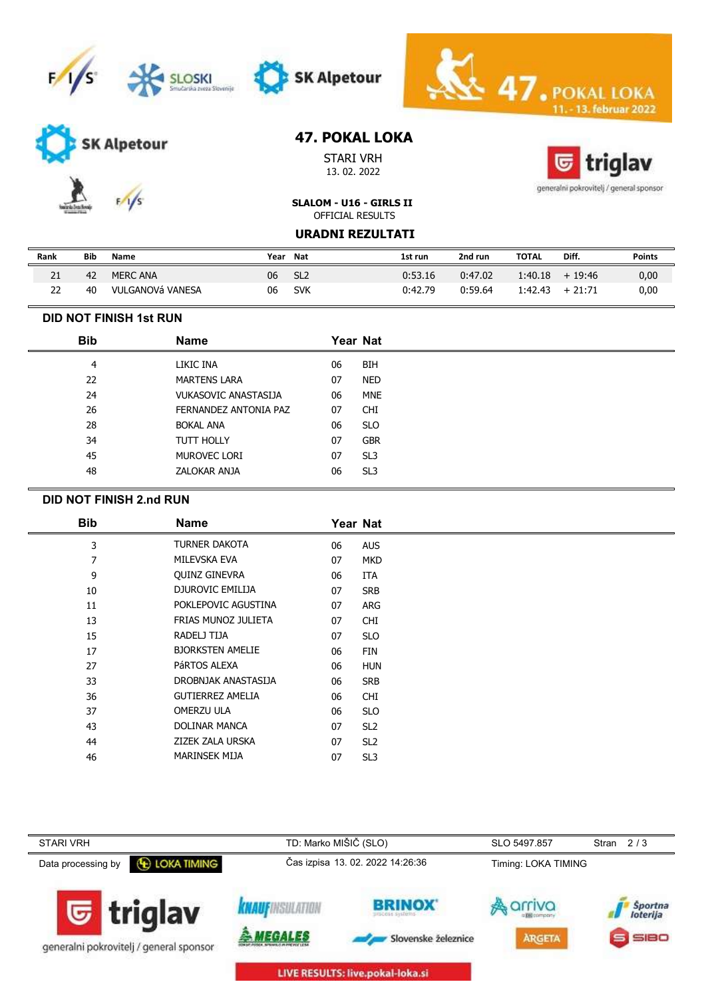





SK Alpetour

STARI VRH 13. 02. 2022



**13. februar 2022** 

 $\leq 47.$ POI

generalni pokrovitelj / general sponsor

SLALOM - U16 - GIRLS II OFFICIAL RESULTS

URADNI REZULTATI

| Rank | Bib | Name             | Year | Nat             | 1st run | 2nd run | ΤΟΤΑL   | Diff.             | <b>Points</b> |
|------|-----|------------------|------|-----------------|---------|---------|---------|-------------------|---------------|
|      | 42  | <b>MERC ANA</b>  | 06   | SL <sub>2</sub> | 0:53.16 | 0:47.02 | 1:40.18 | $+19:46$          | 0,00          |
|      | 40  | VULGANOVÁ VANESA | 06   | <b>SVK</b>      | 0:42.79 | 0:59.64 |         | $1:42.43 + 21:71$ | 0,00          |

### DID NOT FINISH 1st RUN

| <b>Bib</b> | <b>Name</b>                 |    | Year Nat        |
|------------|-----------------------------|----|-----------------|
| 4          | LIKIC INA                   | 06 | <b>BIH</b>      |
| 22         | <b>MARTENS LARA</b>         | 07 | <b>NED</b>      |
| 24         | <b>VUKASOVIC ANASTASIJA</b> | 06 | <b>MNE</b>      |
| 26         | FERNANDEZ ANTONIA PAZ       | 07 | <b>CHI</b>      |
| 28         | <b>BOKAL ANA</b>            | 06 | <b>SLO</b>      |
| 34         | <b>TUTT HOLLY</b>           | 07 | <b>GBR</b>      |
| 45         | MUROVEC LORI                | 07 | SL <sub>3</sub> |
| 48         | ZALOKAR ANJA                | 06 | SL <sub>3</sub> |

#### DID NOT FINISH 2.nd RUN

| <b>Bib</b> | <b>Name</b>             |    | Year Nat        |  |
|------------|-------------------------|----|-----------------|--|
| 3          | TURNER DAKOTA           | 06 | <b>AUS</b>      |  |
| 7          | MILEVSKA EVA            | 07 | <b>MKD</b>      |  |
| 9          | <b>QUINZ GINEVRA</b>    | 06 | <b>ITA</b>      |  |
| 10         | DJUROVIC EMILIJA        | 07 | <b>SRB</b>      |  |
| 11         | POKLEPOVIC AGUSTINA     | 07 | ARG             |  |
| 13         | FRIAS MUNOZ JULIETA     | 07 | <b>CHI</b>      |  |
| 15         | RADELJ TIJA             | 07 | <b>SLO</b>      |  |
| 17         | <b>BJORKSTEN AMELIE</b> | 06 | <b>FIN</b>      |  |
| 27         | PÁRTOS ALEXA            | 06 | <b>HUN</b>      |  |
| 33         | DROBNJAK ANASTASIJA     | 06 | <b>SRB</b>      |  |
| 36         | <b>GUTIERREZ AMELIA</b> | 06 | <b>CHI</b>      |  |
| 37         | OMERZU ULA              | 06 | <b>SLO</b>      |  |
| 43         | <b>DOLINAR MANCA</b>    | 07 | SL <sub>2</sub> |  |
| 44         | ZIZEK ZALA URSKA        | 07 | SL <sub>2</sub> |  |
| 46         | <b>MARINSEK MIJA</b>    | 07 | SL <sub>3</sub> |  |